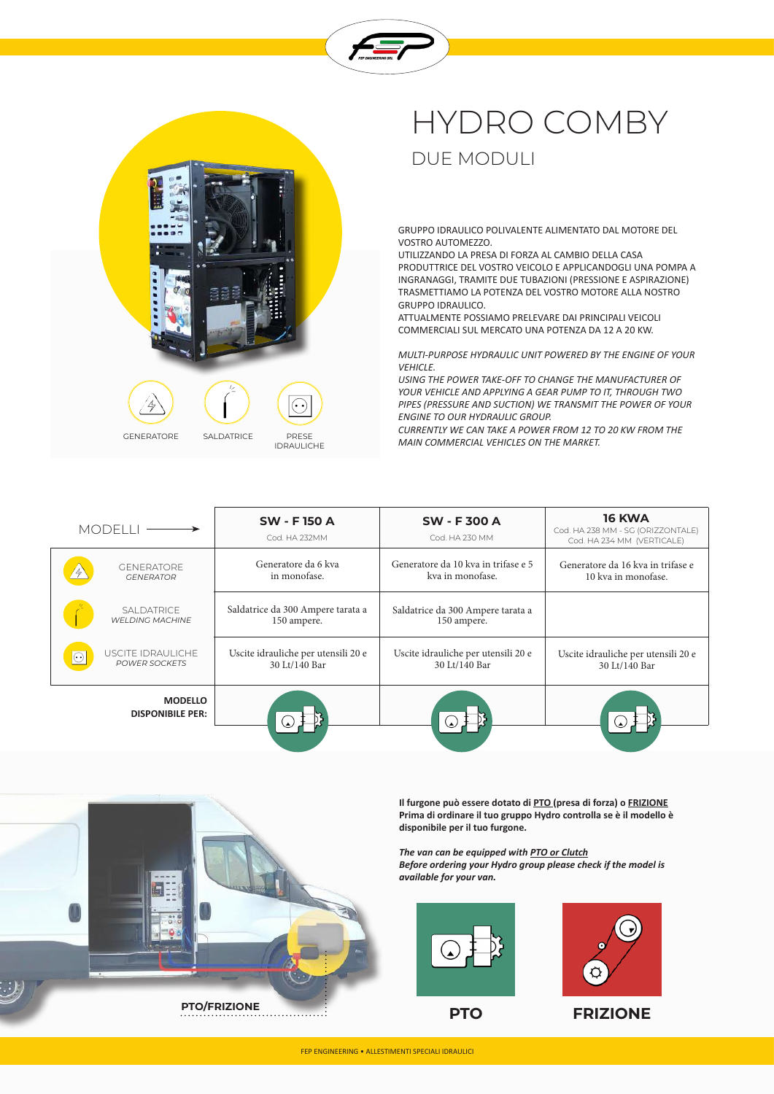



## HYDRO COMBY DUE MODULI

GRUPPO IDRAULICO POLIVALENTE ALIMENTATO DAL MOTORE DEL VOSTRO AUTOMEZZO.

UTILIZZANDO LA PRESA DI FORZA AL CAMBIO DELLA CASA PRODUTTRICE DEL VOSTRO VEICOLO E APPLICANDOGLI UNA POMPA A INGRANAGGI, TRAMITE DUE TUBAZIONI (PRESSIONE E ASPIRAZIONE) TRASMETTIAMO LA POTENZA DEL VOSTRO MOTORE ALLA NOSTRO GRUPPO IDRAULICO.

ATTUALMENTE POSSIAMO PRELEVARE DAI PRINCIPALI VEICOLI COMMERCIALI SUL MERCATO UNA POTENZA DA 12 A 20 KW.

*MULTI-PURPOSE HYDRAULIC UNIT POWERED BY THE ENGINE OF YOUR VEHICLE.*

*USING THE POWER TAKE-OFF TO CHANGE THE MANUFACTURER OF YOUR VEHICLE AND APPLYING A GEAR PUMP TO IT, THROUGH TWO PIPES (PRESSURE AND SUCTION) WE TRANSMIT THE POWER OF YOUR ENGINE TO OUR HYDRAULIC GROUP.*

*CURRENTLY WE CAN TAKE A POWER FROM 12 TO 20 KW FROM THE MAIN COMMERCIAL VEHICLES ON THE MARKET.*

| <b>MODELLI</b>                                                   | <b>SW - F150 A</b><br>Cod. HA 232MM                  | <b>SW-F300A</b><br>Cod. HA 230 MM                       | <b>16 KWA</b><br>Cod. HA 238 MM - SG (ORIZZONTALE)<br>Cod. HA 234 MM (VERTICALE) |
|------------------------------------------------------------------|------------------------------------------------------|---------------------------------------------------------|----------------------------------------------------------------------------------|
| <b>GENERATORE</b><br><b>GENERATOR</b>                            | Generatore da 6 kva<br>in monofase.                  | Generatore da 10 kva in trifase e 5<br>kva in monofase. | Generatore da 16 kva in trifase e<br>10 kva in monofase.                         |
| <b>SALDATRICE</b><br><b>WELDING MACHINE</b>                      | Saldatrice da 300 Ampere tarata a<br>150 ampere.     | Saldatrice da 300 Ampere tarata a<br>150 ampere.        |                                                                                  |
| USCITE IDRAULICHE<br>$\widehat{(\cdot)}$<br><b>POWER SOCKETS</b> | Uscite idrauliche per utensili 20 e<br>30 Lt/140 Bar | Uscite idrauliche per utensili 20 e<br>30 Lt/140 Bar    | Uscite idrauliche per utensili 20 e<br>30 Lt/140 Bar                             |
| <b>MODELLO</b><br><b>DISPONIBILE PER:</b>                        |                                                      |                                                         |                                                                                  |

**Il furgone può essere dotato di PTO (presa di forza) o FRIZIONE Prima di ordinare il tuo gruppo Hydro controlla se è il modello è disponibile per il tuo furgone.**

*The van can be equipped with PTO or Clutch Before ordering your Hydro group please check if the model is available for your van.*





**PTO FRIZIONE**